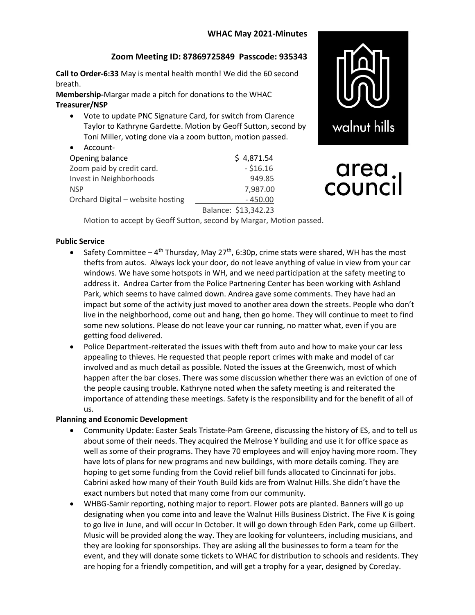# WHAC May 2021-Minutes

# Zoom Meeting ID: 87869725849 Passcode: 935343

Call to Order-6:33 May is mental health month! We did the 60 second breath.

Membership-Margar made a pitch for donations to the WHAC Treasurer/NSP

 Vote to update PNC Signature Card, for switch from Clarence Taylor to Kathryne Gardette. Motion by Geoff Sutton, second by Toni Miller, voting done via a zoom button, motion passed.

| Account-                          |                      |
|-----------------------------------|----------------------|
| Opening balance                   | \$4,871.54           |
| Zoom paid by credit card.         | $- $16.16$           |
| Invest in Neighborhoods           | 949.85               |
| <b>NSP</b>                        | 7,987.00             |
| Orchard Digital - website hosting | $-450.00$            |
|                                   | Balance: \$13,342.23 |



# area.<br>council

Motion to accept by Geoff Sutton, second by Margar, Motion passed.

#### Public Service

- Safety Committee  $4^{th}$  Thursday, May 27<sup>th</sup>, 6:30p, crime stats were shared, WH has the most thefts from autos. Always lock your door, do not leave anything of value in view from your car windows. We have some hotspots in WH, and we need participation at the safety meeting to address it. Andrea Carter from the Police Partnering Center has been working with Ashland Park, which seems to have calmed down. Andrea gave some comments. They have had an impact but some of the activity just moved to another area down the streets. People who don't live in the neighborhood, come out and hang, then go home. They will continue to meet to find some new solutions. Please do not leave your car running, no matter what, even if you are getting food delivered.
- Police Department-reiterated the issues with theft from auto and how to make your car less appealing to thieves. He requested that people report crimes with make and model of car involved and as much detail as possible. Noted the issues at the Greenwich, most of which happen after the bar closes. There was some discussion whether there was an eviction of one of the people causing trouble. Kathryne noted when the safety meeting is and reiterated the importance of attending these meetings. Safety is the responsibility and for the benefit of all of us.

#### Planning and Economic Development

- Community Update: Easter Seals Tristate-Pam Greene, discussing the history of ES, and to tell us about some of their needs. They acquired the Melrose Y building and use it for office space as well as some of their programs. They have 70 employees and will enjoy having more room. They have lots of plans for new programs and new buildings, with more details coming. They are hoping to get some funding from the Covid relief bill funds allocated to Cincinnati for jobs. Cabrini asked how many of their Youth Build kids are from Walnut Hills. She didn't have the exact numbers but noted that many come from our community.
- WHBG-Samir reporting, nothing major to report. Flower pots are planted. Banners will go up designating when you come into and leave the Walnut Hills Business District. The Five K is going to go live in June, and will occur In October. It will go down through Eden Park, come up Gilbert. Music will be provided along the way. They are looking for volunteers, including musicians, and they are looking for sponsorships. They are asking all the businesses to form a team for the event, and they will donate some tickets to WHAC for distribution to schools and residents. They are hoping for a friendly competition, and will get a trophy for a year, designed by Coreclay.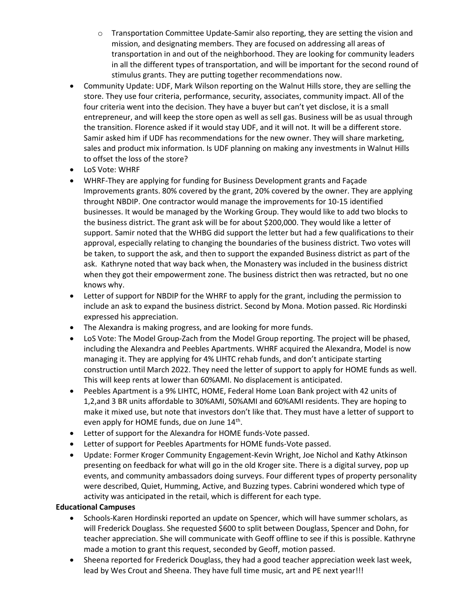- $\circ$  Transportation Committee Update-Samir also reporting, they are setting the vision and mission, and designating members. They are focused on addressing all areas of transportation in and out of the neighborhood. They are looking for community leaders in all the different types of transportation, and will be important for the second round of stimulus grants. They are putting together recommendations now.
- Community Update: UDF, Mark Wilson reporting on the Walnut Hills store, they are selling the store. They use four criteria, performance, security, associates, community impact. All of the four criteria went into the decision. They have a buyer but can't yet disclose, it is a small entrepreneur, and will keep the store open as well as sell gas. Business will be as usual through the transition. Florence asked if it would stay UDF, and it will not. It will be a different store. Samir asked him if UDF has recommendations for the new owner. They will share marketing, sales and product mix information. Is UDF planning on making any investments in Walnut Hills to offset the loss of the store?
- LoS Vote: WHRF
- WHRF-They are applying for funding for Business Development grants and Façade Improvements grants. 80% covered by the grant, 20% covered by the owner. They are applying throught NBDIP. One contractor would manage the improvements for 10-15 identified businesses. It would be managed by the Working Group. They would like to add two blocks to the business district. The grant ask will be for about \$200,000. They would like a letter of support. Samir noted that the WHBG did support the letter but had a few qualifications to their approval, especially relating to changing the boundaries of the business district. Two votes will be taken, to support the ask, and then to support the expanded Business district as part of the ask. Kathryne noted that way back when, the Monastery was included in the business district when they got their empowerment zone. The business district then was retracted, but no one knows why.
- Letter of support for NBDIP for the WHRF to apply for the grant, including the permission to include an ask to expand the business district. Second by Mona. Motion passed. Ric Hordinski expressed his appreciation.
- The Alexandra is making progress, and are looking for more funds.
- LoS Vote: The Model Group-Zach from the Model Group reporting. The project will be phased, including the Alexandra and Peebles Apartments. WHRF acquired the Alexandra, Model is now managing it. They are applying for 4% LIHTC rehab funds, and don't anticipate starting construction until March 2022. They need the letter of support to apply for HOME funds as well. This will keep rents at lower than 60%AMI. No displacement is anticipated.
- Peebles Apartment is a 9% LIHTC, HOME, Federal Home Loan Bank project with 42 units of 1,2,and 3 BR units affordable to 30%AMI, 50%AMI and 60%AMI residents. They are hoping to make it mixed use, but note that investors don't like that. They must have a letter of support to even apply for HOME funds, due on June  $14<sup>th</sup>$ .
- Letter of support for the Alexandra for HOME funds-Vote passed.
- Letter of support for Peebles Apartments for HOME funds-Vote passed.
- Update: Former Kroger Community Engagement-Kevin Wright, Joe Nichol and Kathy Atkinson presenting on feedback for what will go in the old Kroger site. There is a digital survey, pop up events, and community ambassadors doing surveys. Four different types of property personality were described, Quiet, Humming, Active, and Buzzing types. Cabrini wondered which type of activity was anticipated in the retail, which is different for each type.

### Educational Campuses

- Schools-Karen Hordinski reported an update on Spencer, which will have summer scholars, as will Frederick Douglass. She requested \$600 to split between Douglass, Spencer and Dohn, for teacher appreciation. She will communicate with Geoff offline to see if this is possible. Kathryne made a motion to grant this request, seconded by Geoff, motion passed.
- Sheena reported for Frederick Douglass, they had a good teacher appreciation week last week, lead by Wes Crout and Sheena. They have full time music, art and PE next year!!!